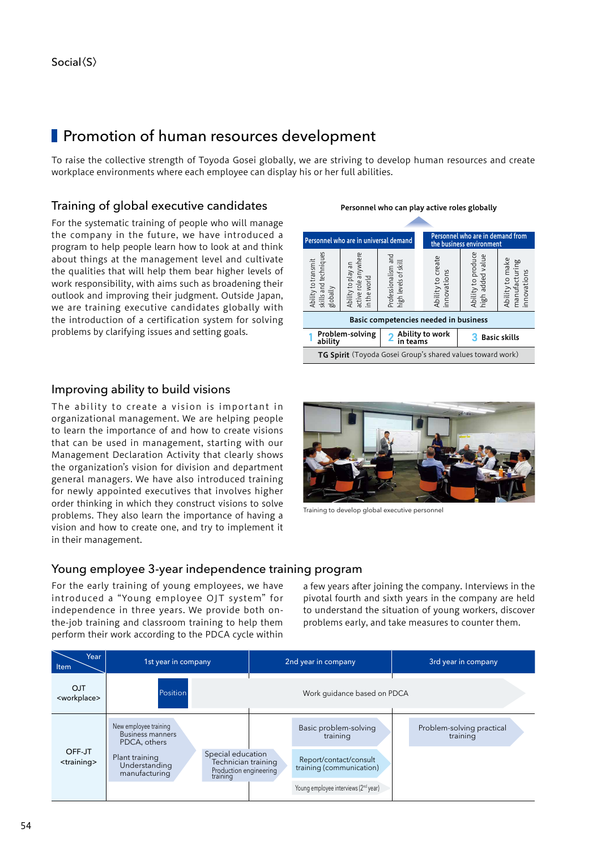# **Promotion of human resources development**

To raise the collective strength of Toyoda Gosei globally, we are striving to develop human resources and create workplace environments where each employee can display his or her full abilities.

### Training of global executive candidates

For the systematic training of people who will manage the company in the future, we have introduced a program to help people learn how to look at and think about things at the management level and cultivate the qualities that will help them bear higher levels of work responsibility, with aims such as broadening their outlook and improving their judgment. Outside Japan, we are training executive candidates globally with the introduction of a certification system for solving problems by clarifying issues and setting goals.

#### Personnel who can play active roles globally Personnel who are in universal demand Personnel who are in demand from the business environment Ability to produce skills and techniques active role anywhere Professionalism and nce techniques and Ability to create added value to create high added value Ability to make<br>manufacturing<br>innovations Ability to make Ability to transmit whei manufacturing transmit levels of skill high levels of skill  $\overline{\overline{a}}$ Ability to play an Professionalism a<br>high levels of skil to prod wue ions play innovations innovations world in the world .<br>Tole y to 1<br>and 1  $\overline{5}$ Ability t  $\overline{t}$ ity t globally Ability t<br>skills an Ability active r £ ijidr<br>Viet Basic competencies needed in business Problem-solving 2 Ability to work<br>ability in teams 3 Basic skills in teams TG Spirit (Toyoda Gosei Group's shared values toward work)

#### Improving ability to build visions

The ability to create a vision is important in organizational management. We are helping people to learn the importance of and how to create visions that can be used in management, starting with our Management Declaration Activity that clearly shows the organization's vision for division and department general managers. We have also introduced training for newly appointed executives that involves higher order thinking in which they construct visions to solve problems. They also learn the importance of having a vision and how to create one, and try to implement it in their management.



Training to develop global executive personnel

#### Young employee 3-year independence training program

For the early training of young employees, we have introduced a "Young employee OJT system" for independence in three years. We provide both onthe-job training and classroom training to help them perform their work according to the PDCA cycle within

a few years after joining the company. Interviews in the pivotal fourth and sixth years in the company are held to understand the situation of young workers, discover problems early, and take measures to counter them.